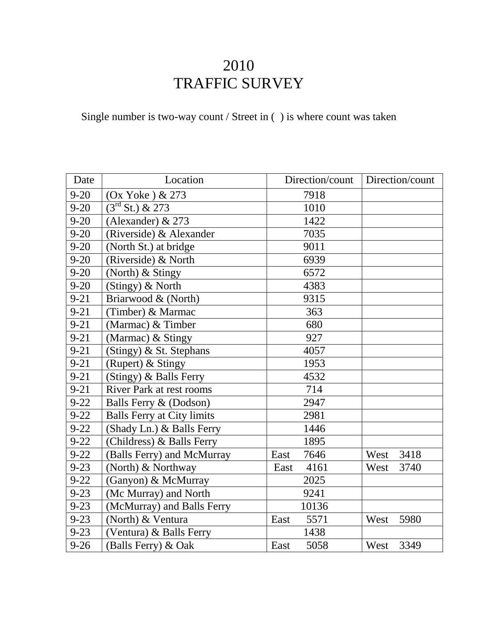## 2010 TRAFFIC SURVEY

Single number is two-way count / Street in ( ) is where count was taken

| Date     | Location                          | Direction/count | Direction/count |
|----------|-----------------------------------|-----------------|-----------------|
| $9 - 20$ | (Ox Yoke) & 273                   | 7918            |                 |
| $9 - 20$ | $3^{\text{rd}}$ St.) & 273        | 1010            |                 |
| $9 - 20$ | (Alexander) & 273                 | 1422            |                 |
| $9 - 20$ | (Riverside) & Alexander           | 7035            |                 |
| $9 - 20$ | (North St.) at bridge             | 9011            |                 |
| $9 - 20$ | (Riverside) & North               | 6939            |                 |
| $9 - 20$ | (North) & Stingy                  | 6572            |                 |
| $9 - 20$ | (Stingy) & North                  | 4383            |                 |
| $9 - 21$ | Briarwood & (North)               | 9315            |                 |
| $9 - 21$ | (Timber) & Marmac                 | 363             |                 |
| $9 - 21$ | (Marmac) & Timber                 | 680             |                 |
| $9 - 21$ | (Marmac) & Stingy                 | 927             |                 |
| $9 - 21$ | (Stingy) & St. Stephans           | 4057            |                 |
| $9 - 21$ | (Rupert) & Stingy                 | 1953            |                 |
| $9 - 21$ | (Stingy) & Balls Ferry            | 4532            |                 |
| $9 - 21$ | <b>River Park at rest rooms</b>   | 714             |                 |
| $9 - 22$ | Balls Ferry & (Dodson)            | 2947            |                 |
| $9 - 22$ | <b>Balls Ferry at City limits</b> | 2981            |                 |
| $9 - 22$ | (Shady Ln.) & Balls Ferry         | 1446            |                 |
| $9 - 22$ | (Childress) & Balls Ferry         | 1895            |                 |
| $9 - 22$ | (Balls Ferry) and McMurray        | 7646<br>East    | 3418<br>West    |
| $9 - 23$ | (North) & Northway                | 4161<br>East    | 3740<br>West    |
| $9 - 22$ | (Ganyon) & McMurray               | 2025            |                 |
| $9 - 23$ | (Mc Murray) and North             | 9241            |                 |
| $9 - 23$ | (McMurray) and Balls Ferry        | 10136           |                 |
| $9 - 23$ | (North) & Ventura                 | 5571<br>East    | West<br>5980    |
| $9 - 23$ | (Ventura) & Balls Ferry           | 1438            |                 |
| $9 - 26$ | (Balls Ferry) & Oak               | 5058<br>East    | 3349<br>West    |